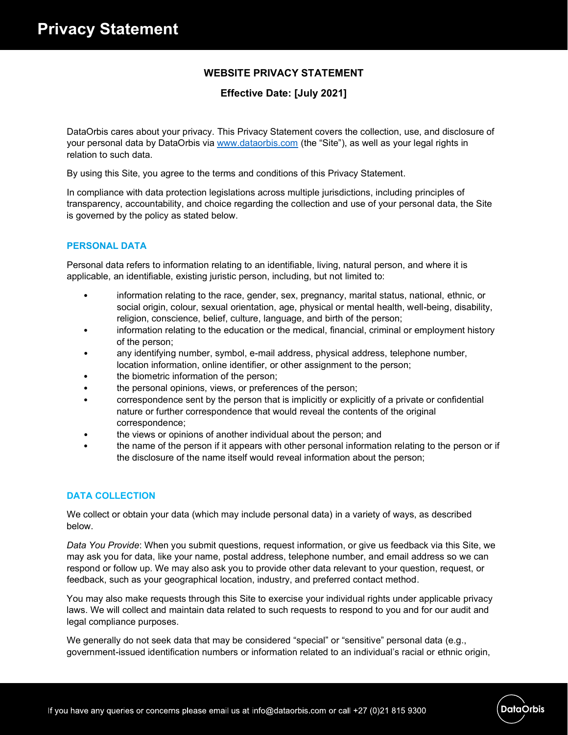# **WEBSITE PRIVACY STATEMENT**

# **Effective Date: [July 2021]**

DataOrbis cares about your privacy. This Privacy Statement covers the collection, use, and disclosure of your personal data by DataOrbis via www.dataorbis.com (the "Site"), as well as your legal rights in relation to such data.

By using this Site, you agree to the terms and conditions of this Privacy Statement.

In compliance with data protection legislations across multiple jurisdictions, including principles of transparency, accountability, and choice regarding the collection and use of your personal data, the Site is governed by the policy as stated below.

## **PERSONAL DATA**

Personal data refers to information relating to an identifiable, living, natural person, and where it is applicable, an identifiable, existing juristic person, including, but not limited to:

- information relating to the race, gender, sex, pregnancy, marital status, national, ethnic, or social origin, colour, sexual orientation, age, physical or mental health, well-being, disability, religion, conscience, belief, culture, language, and birth of the person;
- information relating to the education or the medical, financial, criminal or employment history of the person;
- any identifying number, symbol, e-mail address, physical address, telephone number, location information, online identifier, or other assignment to the person;
- the biometric information of the person;
- the personal opinions, views, or preferences of the person;
- correspondence sent by the person that is implicitly or explicitly of a private or confidential nature or further correspondence that would reveal the contents of the original correspondence;
- the views or opinions of another individual about the person; and
- the name of the person if it appears with other personal information relating to the person or if the disclosure of the name itself would reveal information about the person;

### **DATA COLLECTION**

We collect or obtain your data (which may include personal data) in a variety of ways, as described below.

*Data You Provide*: When you submit questions, request information, or give us feedback via this Site, we may ask you for data, like your name, postal address, telephone number, and email address so we can respond or follow up. We may also ask you to provide other data relevant to your question, request, or feedback, such as your geographical location, industry, and preferred contact method.

You may also make requests through this Site to exercise your individual rights under applicable privacy laws. We will collect and maintain data related to such requests to respond to you and for our audit and legal compliance purposes.

We generally do not seek data that may be considered "special" or "sensitive" personal data (e.g., government-issued identification numbers or information related to an individual's racial or ethnic origin,

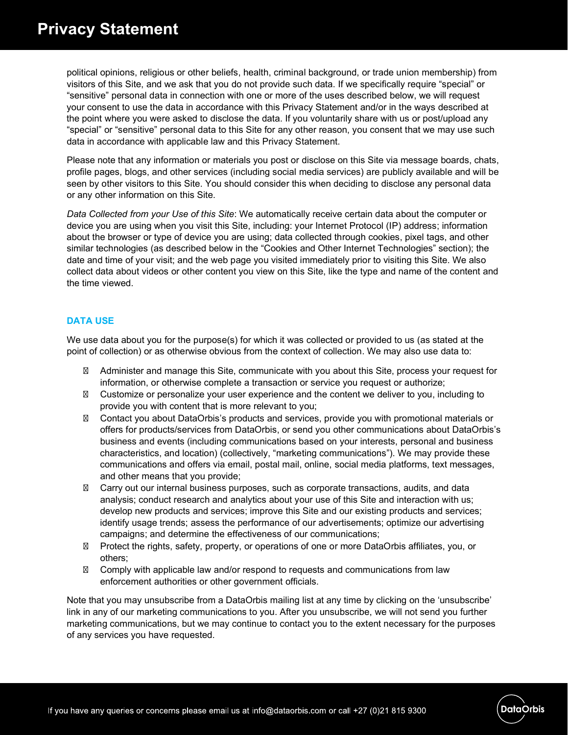political opinions, religious or other beliefs, health, criminal background, or trade union membership) from visitors of this Site, and we ask that you do not provide such data. If we specifically require "special" or "sensitive" personal data in connection with one or more of the uses described below, we will request your consent to use the data in accordance with this Privacy Statement and/or in the ways described at the point where you were asked to disclose the data. If you voluntarily share with us or post/upload any "special" or "sensitive" personal data to this Site for any other reason, you consent that we may use such data in accordance with applicable law and this Privacy Statement.

Please note that any information or materials you post or disclose on this Site via message boards, chats, profile pages, blogs, and other services (including social media services) are publicly available and will be seen by other visitors to this Site. You should consider this when deciding to disclose any personal data or any other information on this Site.

*Data Collected from your Use of this Site*: We automatically receive certain data about the computer or device you are using when you visit this Site, including: your Internet Protocol (IP) address; information about the browser or type of device you are using; data collected through cookies, pixel tags, and other similar technologies (as described below in the "Cookies and Other Internet Technologies" section); the date and time of your visit; and the web page you visited immediately prior to visiting this Site. We also collect data about videos or other content you view on this Site, like the type and name of the content and the time viewed.

## **DATA USE**

We use data about you for the purpose(s) for which it was collected or provided to us (as stated at the point of collection) or as otherwise obvious from the context of collection. We may also use data to:

Administer and manage this Site, communicate with you about this Site, process your request for information, or otherwise complete a transaction or service you request or authorize; Customize or personalize your user experience and the content we deliver to you, including to provide you with content that is more relevant to you;

Contact you about DataOrbis's products and services, provide you with promotional materials or offers for products/services from DataOrbis, or send you other communications about DataOrbis's business and events (including communications based on your interests, personal and business characteristics, and location) (collectively, "marketing communications"). We may provide these communications and offers via email, postal mail, online, social media platforms, text messages, and other means that you provide;

Carry out our internal business purposes, such as corporate transactions, audits, and data analysis; conduct research and analytics about your use of this Site and interaction with us; develop new products and services; improve this Site and our existing products and services; identify usage trends; assess the performance of our advertisements; optimize our advertising campaigns; and determine the effectiveness of our communications;

Protect the rights, safety, property, or operations of one or more DataOrbis affiliates, you, or others;

Comply with applicable law and/or respond to requests and communications from law enforcement authorities or other government officials.

Note that you may unsubscribe from a DataOrbis mailing list at any time by clicking on the 'unsubscribe' link in any of our marketing communications to you. After you unsubscribe, we will not send you further marketing communications, but we may continue to contact you to the extent necessary for the purposes of any services you have requested.



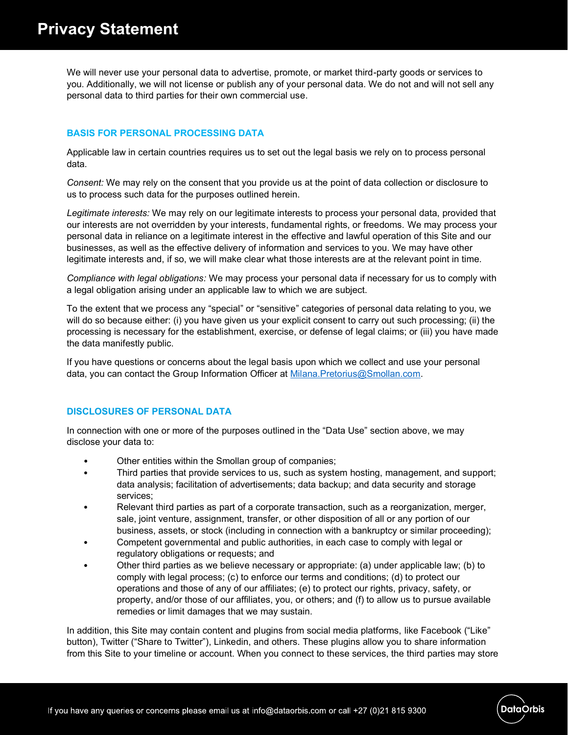We will never use your personal data to advertise, promote, or market third-party goods or services to you. Additionally, we will not license or publish any of your personal data. We do not and will not sell any personal data to third parties for their own commercial use.

# **BASIS FOR PERSONAL PROCESSING DATA**

Applicable law in certain countries requires us to set out the legal basis we rely on to process personal data.

*Consent:* We may rely on the consent that you provide us at the point of data collection or disclosure to us to process such data for the purposes outlined herein.

*Legitimate interests:* We may rely on our legitimate interests to process your personal data, provided that our interests are not overridden by your interests, fundamental rights, or freedoms. We may process your personal data in reliance on a legitimate interest in the effective and lawful operation of this Site and our businesses, as well as the effective delivery of information and services to you. We may have other legitimate interests and, if so, we will make clear what those interests are at the relevant point in time.

*Compliance with legal obligations:* We may process your personal data if necessary for us to comply with a legal obligation arising under an applicable law to which we are subject.

To the extent that we process any "special" or "sensitive" categories of personal data relating to you, we will do so because either: (i) you have given us your explicit consent to carry out such processing; (ii) the processing is necessary for the establishment, exercise, or defense of legal claims; or (iii) you have made the data manifestly public.

If you have questions or concerns about the legal basis upon which we collect and use your personal data, you can contact the Group Information Officer at Milana.Pretorius@Smollan.com.

# **DISCLOSURES OF PERSONAL DATA**

In connection with one or more of the purposes outlined in the "Data Use" section above, we may disclose your data to:

- Other entities within the Smollan group of companies;
- Third parties that provide services to us, such as system hosting, management, and support; data analysis; facilitation of advertisements; data backup; and data security and storage services;
- Relevant third parties as part of a corporate transaction, such as a reorganization, merger, sale, joint venture, assignment, transfer, or other disposition of all or any portion of our business, assets, or stock (including in connection with a bankruptcy or similar proceeding);
- Competent governmental and public authorities, in each case to comply with legal or regulatory obligations or requests; and
- Other third parties as we believe necessary or appropriate: (a) under applicable law; (b) to comply with legal process; (c) to enforce our terms and conditions; (d) to protect our operations and those of any of our affiliates; (e) to protect our rights, privacy, safety, or property, and/or those of our affiliates, you, or others; and (f) to allow us to pursue available remedies or limit damages that we may sustain.

In addition, this Site may contain content and plugins from social media platforms, like Facebook ("Like" button), Twitter ("Share to Twitter"), Linkedin, and others. These plugins allow you to share information from this Site to your timeline or account. When you connect to these services, the third parties may store

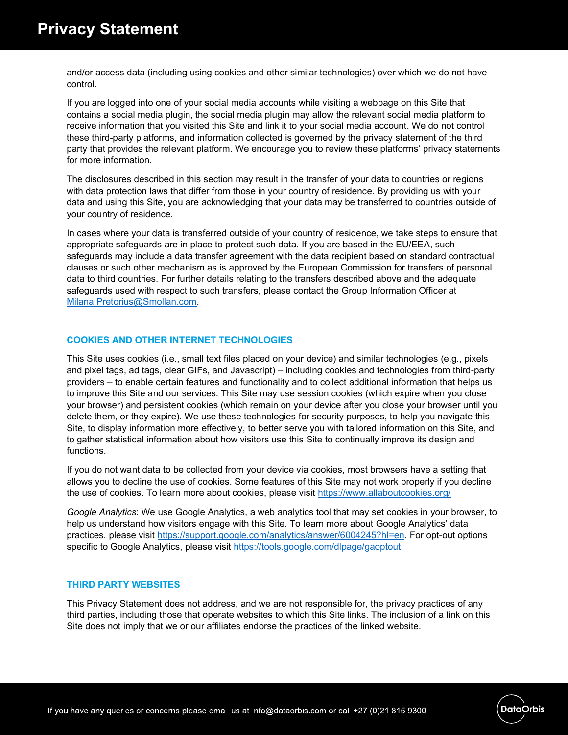and/or access data (including using cookies and other similar technologies) over which we do not have control.

If you are logged into one of your social media accounts while visiting a webpage on this Site that contains a social media plugin, the social media plugin may allow the relevant social media platform to receive information that you visited this Site and link it to your social media account. We do not control these third-party platforms, and information collected is governed by the privacy statement of the third party that provides the relevant platform. We encourage you to review these platforms' privacy statements for more information.

The disclosures described in this section may result in the transfer of your data to countries or regions with data protection laws that differ from those in your country of residence. By providing us with your data and using this Site, you are acknowledging that your data may be transferred to countries outside of your country of residence.

In cases where your data is transferred outside of your country of residence, we take steps to ensure that appropriate safeguards are in place to protect such data. If you are based in the EU/EEA, such safeguards may include a data transfer agreement with the data recipient based on standard contractual clauses or such other mechanism as is approved by the European Commission for transfers of personal data to third countries. For further details relating to the transfers described above and the adequate safeguards used with respect to such transfers, please contact the Group Information Officer at Milana.Pretorius@Smollan.com.

# **COOKIES AND OTHER INTERNET TECHNOLOGIES**

This Site uses cookies (i.e., small text files placed on your device) and similar technologies (e.g., pixels and pixel tags, ad tags, clear GIFs, and Javascript) – including cookies and technologies from third-party providers – to enable certain features and functionality and to collect additional information that helps us to improve this Site and our services. This Site may use session cookies (which expire when you close your browser) and persistent cookies (which remain on your device after you close your browser until you delete them, or they expire). We use these technologies for security purposes, to help you navigate this Site, to display information more effectively, to better serve you with tailored information on this Site, and to gather statistical information about how visitors use this Site to continually improve its design and functions.

If you do not want data to be collected from your device via cookies, most browsers have a setting that allows you to decline the use of cookies. Some features of this Site may not work properly if you decline the use of cookies. To learn more about cookies, please visit https://www.allaboutcookies.org/

*Google Analytics*: We use Google Analytics, a web analytics tool that may set cookies in your browser, to help us understand how visitors engage with this Site. To learn more about Google Analytics' data practices, please visit https://support.google.com/analytics/answer/6004245?hl=en. For opt-out options specific to Google Analytics, please visit https://tools.google.com/dlpage/gaoptout.

### **THIRD PARTY WEBSITES**

This Privacy Statement does not address, and we are not responsible for, the privacy practices of any third parties, including those that operate websites to which this Site links. The inclusion of a link on this Site does not imply that we or our affiliates endorse the practices of the linked website.



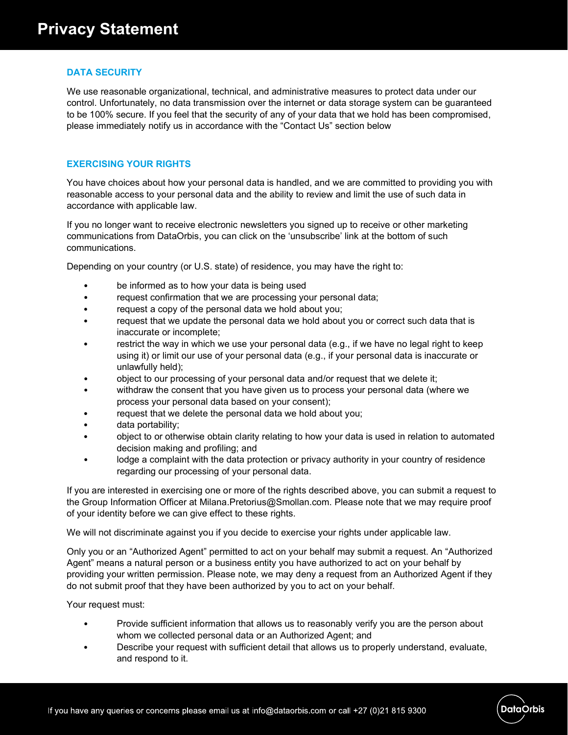## **DATA SECURITY**

We use reasonable organizational, technical, and administrative measures to protect data under our control. Unfortunately, no data transmission over the internet or data storage system can be guaranteed to be 100% secure. If you feel that the security of any of your data that we hold has been compromised, please immediately notify us in accordance with the "Contact Us" section below

# **EXERCISING YOUR RIGHTS**

You have choices about how your personal data is handled, and we are committed to providing you with reasonable access to your personal data and the ability to review and limit the use of such data in accordance with applicable law.

If you no longer want to receive electronic newsletters you signed up to receive or other marketing communications from DataOrbis, you can click on the 'unsubscribe' link at the bottom of such communications.

Depending on your country (or U.S. state) of residence, you may have the right to:

- be informed as to how your data is being used
- request confirmation that we are processing your personal data;
- request a copy of the personal data we hold about you;
- request that we update the personal data we hold about you or correct such data that is inaccurate or incomplete;
- restrict the way in which we use your personal data (e.g., if we have no legal right to keep using it) or limit our use of your personal data (e.g., if your personal data is inaccurate or unlawfully held);
- object to our processing of your personal data and/or request that we delete it;
- withdraw the consent that you have given us to process your personal data (where we process your personal data based on your consent);
- request that we delete the personal data we hold about you;
- data portability;
- object to or otherwise obtain clarity relating to how your data is used in relation to automated decision making and profiling; and
- lodge a complaint with the data protection or privacy authority in your country of residence regarding our processing of your personal data.

If you are interested in exercising one or more of the rights described above, you can submit a request to the Group Information Officer at Milana.Pretorius@Smollan.com. Please note that we may require proof of your identity before we can give effect to these rights.

We will not discriminate against you if you decide to exercise your rights under applicable law.

Only you or an "Authorized Agent" permitted to act on your behalf may submit a request. An "Authorized Agent" means a natural person or a business entity you have authorized to act on your behalf by providing your written permission. Please note, we may deny a request from an Authorized Agent if they do not submit proof that they have been authorized by you to act on your behalf.

Your request must:

- Provide sufficient information that allows us to reasonably verify you are the person about whom we collected personal data or an Authorized Agent; and
- Describe your request with sufficient detail that allows us to properly understand, evaluate, and respond to it.

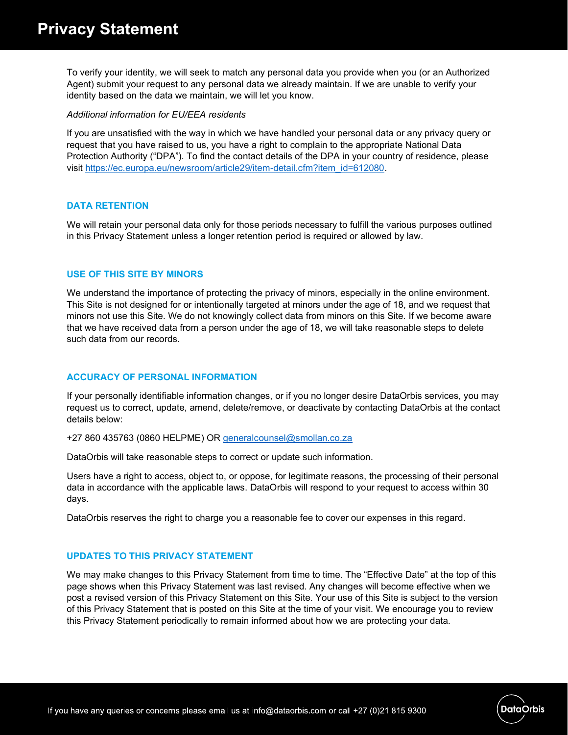To verify your identity, we will seek to match any personal data you provide when you (or an Authorized Agent) submit your request to any personal data we already maintain. If we are unable to verify your identity based on the data we maintain, we will let you know.

#### *Additional information for EU/EEA residents*

If you are unsatisfied with the way in which we have handled your personal data or any privacy query or request that you have raised to us, you have a right to complain to the appropriate National Data Protection Authority ("DPA"). To find the contact details of the DPA in your country of residence, please visit https://ec.europa.eu/newsroom/article29/item-detail.cfm?item\_id=612080.

### **DATA RETENTION**

We will retain your personal data only for those periods necessary to fulfill the various purposes outlined in this Privacy Statement unless a longer retention period is required or allowed by law.

## **USE OF THIS SITE BY MINORS**

We understand the importance of protecting the privacy of minors, especially in the online environment. This Site is not designed for or intentionally targeted at minors under the age of 18, and we request that minors not use this Site. We do not knowingly collect data from minors on this Site. If we become aware that we have received data from a person under the age of 18, we will take reasonable steps to delete such data from our records.

### **ACCURACY OF PERSONAL INFORMATION**

If your personally identifiable information changes, or if you no longer desire DataOrbis services, you may request us to correct, update, amend, delete/remove, or deactivate by contacting DataOrbis at the contact details below:

+27 860 435763 (0860 HELPME) OR generalcounsel@smollan.co.za

DataOrbis will take reasonable steps to correct or update such information.

Users have a right to access, object to, or oppose, for legitimate reasons, the processing of their personal data in accordance with the applicable laws. DataOrbis will respond to your request to access within 30 days.

DataOrbis reserves the right to charge you a reasonable fee to cover our expenses in this regard.

### **UPDATES TO THIS PRIVACY STATEMENT**

We may make changes to this Privacy Statement from time to time. The "Effective Date" at the top of this page shows when this Privacy Statement was last revised. Any changes will become effective when we post a revised version of this Privacy Statement on this Site. Your use of this Site is subject to the version of this Privacy Statement that is posted on this Site at the time of your visit. We encourage you to review this Privacy Statement periodically to remain informed about how we are protecting your data.

**DataOrbis**